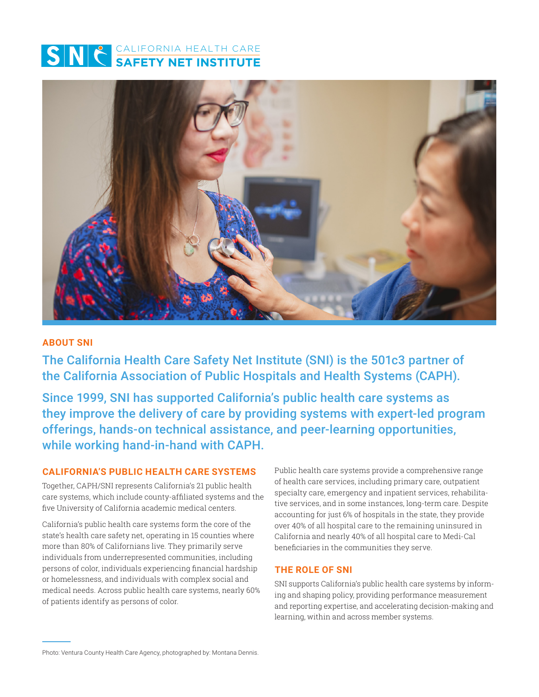



#### **ABOUT SNI**

The California Health Care Safety Net Institute (SNI) is the 501c3 partner of the California Association of Public Hospitals and Health Systems (CAPH).

Since 1999, SNI has supported California's public health care systems as they improve the delivery of care by providing systems with expert-led program offerings, hands-on technical assistance, and peer-learning opportunities, while working hand-in-hand with CAPH.

#### **CALIFORNIA'S PUBLIC HEALTH CARE SYSTEMS**

Together, CAPH/SNI represents California's 21 public health care systems, which include county-affiliated systems and the five University of California academic medical centers.

California's public health care systems form the core of the state's health care safety net, operating in 15 counties where more than 80% of Californians live. They primarily serve individuals from underrepresented communities, including persons of color, individuals experiencing financial hardship or homelessness, and individuals with complex social and medical needs. Across public health care systems, nearly 60% of patients identify as persons of color.

Public health care systems provide a comprehensive range of health care services, including primary care, outpatient specialty care, emergency and inpatient services, rehabilitative services, and in some instances, long-term care. Despite accounting for just 6% of hospitals in the state, they provide over 40% of all hospital care to the remaining uninsured in California and nearly 40% of all hospital care to Medi-Cal beneficiaries in the communities they serve.

#### **THE ROLE OF SNI**

SNI supports California's public health care systems by informing and shaping policy, providing performance measurement and reporting expertise, and accelerating decision-making and learning, within and across member systems.

Photo: Ventura County Health Care Agency, photographed by: Montana Dennis.